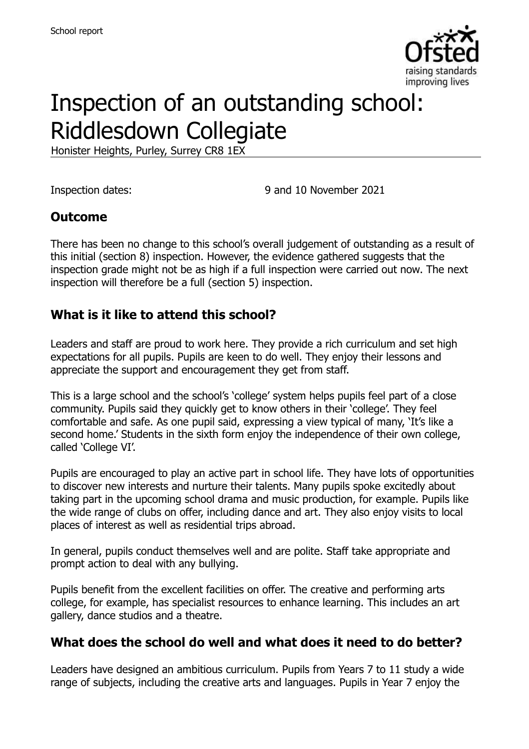

# Inspection of an outstanding school: Riddlesdown Collegiate

Honister Heights, Purley, Surrey CR8 1EX

Inspection dates: 9 and 10 November 2021

#### **Outcome**

There has been no change to this school's overall judgement of outstanding as a result of this initial (section 8) inspection. However, the evidence gathered suggests that the inspection grade might not be as high if a full inspection were carried out now. The next inspection will therefore be a full (section 5) inspection.

#### **What is it like to attend this school?**

Leaders and staff are proud to work here. They provide a rich curriculum and set high expectations for all pupils. Pupils are keen to do well. They enjoy their lessons and appreciate the support and encouragement they get from staff.

This is a large school and the school's 'college' system helps pupils feel part of a close community. Pupils said they quickly get to know others in their 'college'. They feel comfortable and safe. As one pupil said, expressing a view typical of many, 'It's like a second home.' Students in the sixth form enjoy the independence of their own college, called 'College VI'.

Pupils are encouraged to play an active part in school life. They have lots of opportunities to discover new interests and nurture their talents. Many pupils spoke excitedly about taking part in the upcoming school drama and music production, for example. Pupils like the wide range of clubs on offer, including dance and art. They also enjoy visits to local places of interest as well as residential trips abroad.

In general, pupils conduct themselves well and are polite. Staff take appropriate and prompt action to deal with any bullying.

Pupils benefit from the excellent facilities on offer. The creative and performing arts college, for example, has specialist resources to enhance learning. This includes an art gallery, dance studios and a theatre.

#### **What does the school do well and what does it need to do better?**

Leaders have designed an ambitious curriculum. Pupils from Years 7 to 11 study a wide range of subjects, including the creative arts and languages. Pupils in Year 7 enjoy the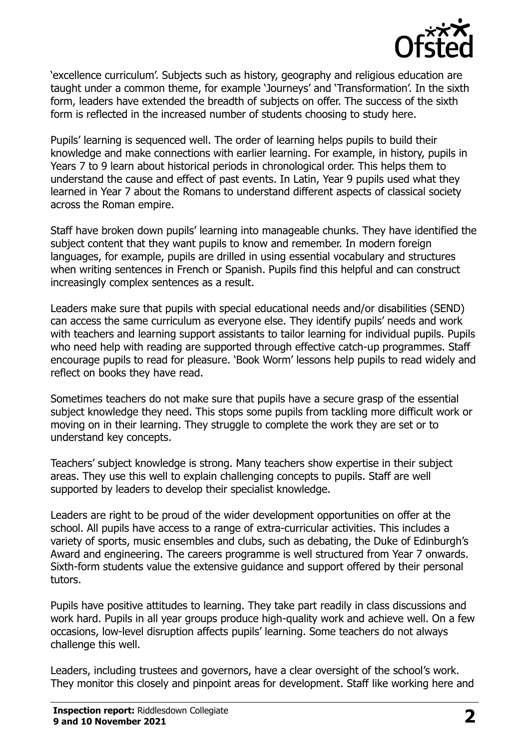

'excellence curriculum'. Subjects such as history, geography and religious education are taught under a common theme, for example 'Journeys' and 'Transformation'. In the sixth form, leaders have extended the breadth of subjects on offer. The success of the sixth form is reflected in the increased number of students choosing to study here.

Pupils' learning is sequenced well. The order of learning helps pupils to build their knowledge and make connections with earlier learning. For example, in history, pupils in Years 7 to 9 learn about historical periods in chronological order. This helps them to understand the cause and effect of past events. In Latin, Year 9 pupils used what they learned in Year 7 about the Romans to understand different aspects of classical society across the Roman empire.

Staff have broken down pupils' learning into manageable chunks. They have identified the subject content that they want pupils to know and remember. In modern foreign languages, for example, pupils are drilled in using essential vocabulary and structures when writing sentences in French or Spanish. Pupils find this helpful and can construct increasingly complex sentences as a result.

Leaders make sure that pupils with special educational needs and/or disabilities (SEND) can access the same curriculum as everyone else. They identify pupils' needs and work with teachers and learning support assistants to tailor learning for individual pupils. Pupils who need help with reading are supported through effective catch-up programmes. Staff encourage pupils to read for pleasure. 'Book Worm' lessons help pupils to read widely and reflect on books they have read.

Sometimes teachers do not make sure that pupils have a secure grasp of the essential subject knowledge they need. This stops some pupils from tackling more difficult work or moving on in their learning. They struggle to complete the work they are set or to understand key concepts.

Teachers' subject knowledge is strong. Many teachers show expertise in their subject areas. They use this well to explain challenging concepts to pupils. Staff are well supported by leaders to develop their specialist knowledge.

Leaders are right to be proud of the wider development opportunities on offer at the school. All pupils have access to a range of extra-curricular activities. This includes a variety of sports, music ensembles and clubs, such as debating, the Duke of Edinburgh's Award and engineering. The careers programme is well structured from Year 7 onwards. Sixth-form students value the extensive guidance and support offered by their personal tutors.

Pupils have positive attitudes to learning. They take part readily in class discussions and work hard. Pupils in all year groups produce high-quality work and achieve well. On a few occasions, low-level disruption affects pupils' learning. Some teachers do not always challenge this well.

Leaders, including trustees and governors, have a clear oversight of the school's work. They monitor this closely and pinpoint areas for development. Staff like working here and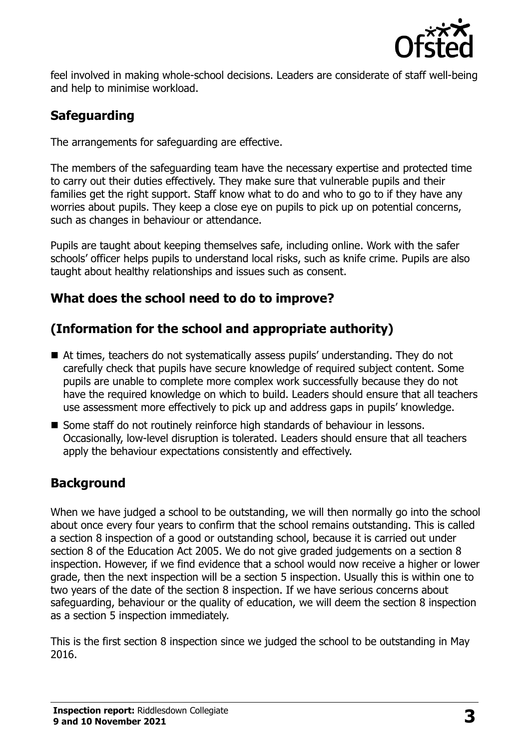

feel involved in making whole-school decisions. Leaders are considerate of staff well-being and help to minimise workload.

## **Safeguarding**

The arrangements for safeguarding are effective.

The members of the safeguarding team have the necessary expertise and protected time to carry out their duties effectively. They make sure that vulnerable pupils and their families get the right support. Staff know what to do and who to go to if they have any worries about pupils. They keep a close eye on pupils to pick up on potential concerns, such as changes in behaviour or attendance.

Pupils are taught about keeping themselves safe, including online. Work with the safer schools' officer helps pupils to understand local risks, such as knife crime. Pupils are also taught about healthy relationships and issues such as consent.

#### **What does the school need to do to improve?**

## **(Information for the school and appropriate authority)**

- At times, teachers do not systematically assess pupils' understanding. They do not carefully check that pupils have secure knowledge of required subject content. Some pupils are unable to complete more complex work successfully because they do not have the required knowledge on which to build. Leaders should ensure that all teachers use assessment more effectively to pick up and address gaps in pupils' knowledge.
- Some staff do not routinely reinforce high standards of behaviour in lessons. Occasionally, low-level disruption is tolerated. Leaders should ensure that all teachers apply the behaviour expectations consistently and effectively.

## **Background**

When we have judged a school to be outstanding, we will then normally go into the school about once every four years to confirm that the school remains outstanding. This is called a section 8 inspection of a good or outstanding school, because it is carried out under section 8 of the Education Act 2005. We do not give graded judgements on a section 8 inspection. However, if we find evidence that a school would now receive a higher or lower grade, then the next inspection will be a section 5 inspection. Usually this is within one to two years of the date of the section 8 inspection. If we have serious concerns about safeguarding, behaviour or the quality of education, we will deem the section 8 inspection as a section 5 inspection immediately.

This is the first section 8 inspection since we judged the school to be outstanding in May 2016.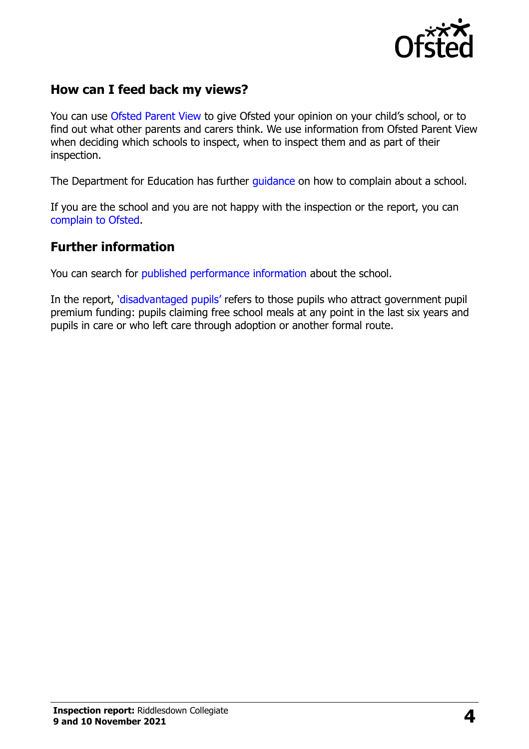

## **How can I feed back my views?**

You can use [Ofsted Parent View](https://parentview.ofsted.gov.uk/) to give Ofsted your opinion on your child's school, or to find out what other parents and carers think. We use information from Ofsted Parent View when deciding which schools to inspect, when to inspect them and as part of their inspection.

The Department for Education has further quidance on how to complain about a school.

If you are the school and you are not happy with the inspection or the report, you can [complain to Ofsted.](https://www.gov.uk/complain-ofsted-report)

#### **Further information**

You can search for [published performance information](http://www.compare-school-performance.service.gov.uk/) about the school.

In the report, '[disadvantaged pupils](http://www.gov.uk/guidance/pupil-premium-information-for-schools-and-alternative-provision-settings)' refers to those pupils who attract government pupil premium funding: pupils claiming free school meals at any point in the last six years and pupils in care or who left care through adoption or another formal route.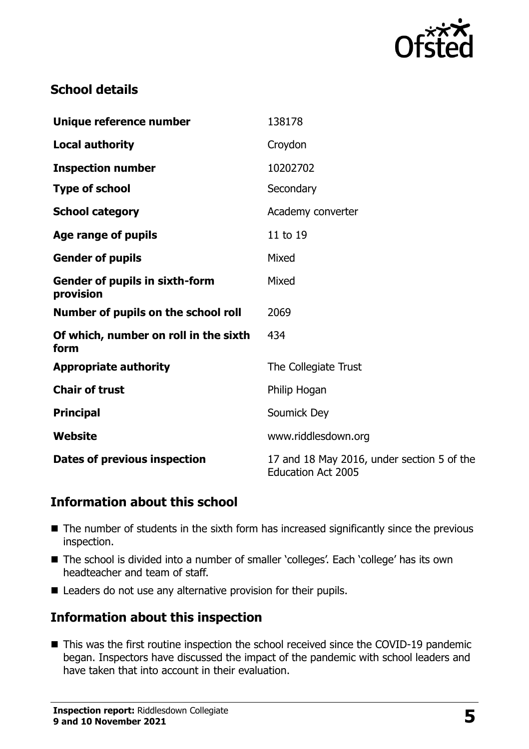

## **School details**

| Unique reference number                            | 138178                                                                  |
|----------------------------------------------------|-------------------------------------------------------------------------|
| <b>Local authority</b>                             | Croydon                                                                 |
| <b>Inspection number</b>                           | 10202702                                                                |
| <b>Type of school</b>                              | Secondary                                                               |
| <b>School category</b>                             | Academy converter                                                       |
| Age range of pupils                                | 11 to 19                                                                |
| <b>Gender of pupils</b>                            | Mixed                                                                   |
| <b>Gender of pupils in sixth-form</b><br>provision | Mixed                                                                   |
| Number of pupils on the school roll                | 2069                                                                    |
| Of which, number on roll in the sixth<br>form      | 434                                                                     |
| <b>Appropriate authority</b>                       | The Collegiate Trust                                                    |
| <b>Chair of trust</b>                              | Philip Hogan                                                            |
| <b>Principal</b>                                   | Soumick Dey                                                             |
| Website                                            | www.riddlesdown.org                                                     |
| Dates of previous inspection                       | 17 and 18 May 2016, under section 5 of the<br><b>Education Act 2005</b> |

#### **Information about this school**

- The number of students in the sixth form has increased significantly since the previous inspection.
- The school is divided into a number of smaller 'colleges'. Each 'college' has its own headteacher and team of staff.
- Leaders do not use any alternative provision for their pupils.

## **Information about this inspection**

■ This was the first routine inspection the school received since the COVID-19 pandemic began. Inspectors have discussed the impact of the pandemic with school leaders and have taken that into account in their evaluation.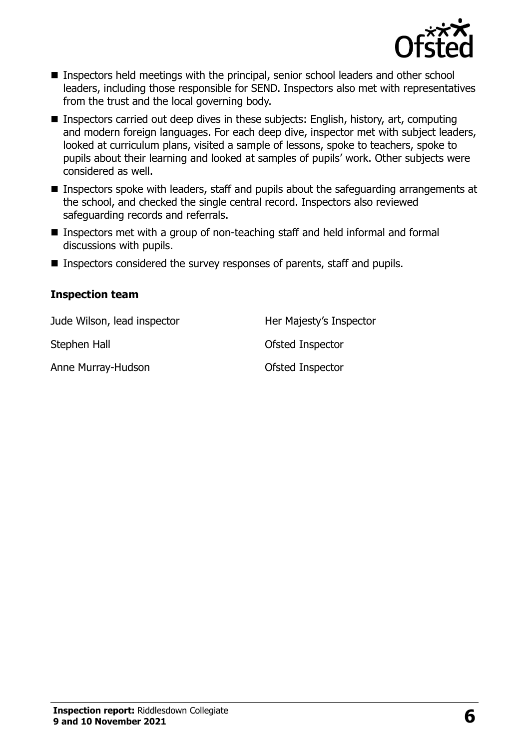

- **Inspectors held meetings with the principal, senior school leaders and other school** leaders, including those responsible for SEND. Inspectors also met with representatives from the trust and the local governing body.
- Inspectors carried out deep dives in these subjects: English, history, art, computing and modern foreign languages. For each deep dive, inspector met with subject leaders, looked at curriculum plans, visited a sample of lessons, spoke to teachers, spoke to pupils about their learning and looked at samples of pupils' work. Other subjects were considered as well.
- Inspectors spoke with leaders, staff and pupils about the safeguarding arrangements at the school, and checked the single central record. Inspectors also reviewed safeguarding records and referrals.
- Inspectors met with a group of non-teaching staff and held informal and formal discussions with pupils.
- Inspectors considered the survey responses of parents, staff and pupils.

#### **Inspection team**

| Jude Wilson, lead inspector | Her Majesty's Inspector |
|-----------------------------|-------------------------|
| Stephen Hall                | Ofsted Inspector        |
| Anne Murray-Hudson          | Ofsted Inspector        |